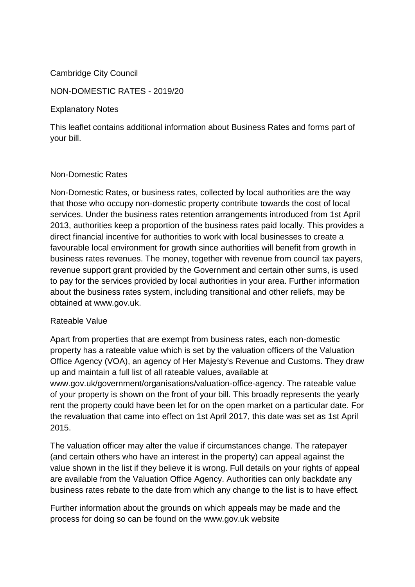## Cambridge City Council

#### NON-DOMESTIC RATES - 2019/20

Explanatory Notes

This leaflet contains additional information about Business Rates and forms part of your bill.

#### Non-Domestic Rates

Non-Domestic Rates, or business rates, collected by local authorities are the way that those who occupy non-domestic property contribute towards the cost of local services. Under the business rates retention arrangements introduced from 1st April 2013, authorities keep a proportion of the business rates paid locally. This provides a direct financial incentive for authorities to work with local businesses to create a favourable local environment for growth since authorities will benefit from growth in business rates revenues. The money, together with revenue from council tax payers, revenue support grant provided by the Government and certain other sums, is used to pay for the services provided by local authorities in your area. Further information about the business rates system, including transitional and other reliefs, may be obtained at www.gov.uk.

#### Rateable Value

Apart from properties that are exempt from business rates, each non-domestic property has a rateable value which is set by the valuation officers of the Valuation Office Agency (VOA), an agency of Her Majesty's Revenue and Customs. They draw up and maintain a full list of all rateable values, available at www.gov.uk/government/organisations/valuation-office-agency. The rateable value of your property is shown on the front of your bill. This broadly represents the yearly rent the property could have been let for on the open market on a particular date. For the revaluation that came into effect on 1st April 2017, this date was set as 1st April 2015.

The valuation officer may alter the value if circumstances change. The ratepayer (and certain others who have an interest in the property) can appeal against the value shown in the list if they believe it is wrong. Full details on your rights of appeal are available from the Valuation Office Agency. Authorities can only backdate any business rates rebate to the date from which any change to the list is to have effect.

Further information about the grounds on which appeals may be made and the process for doing so can be found on the www.gov.uk website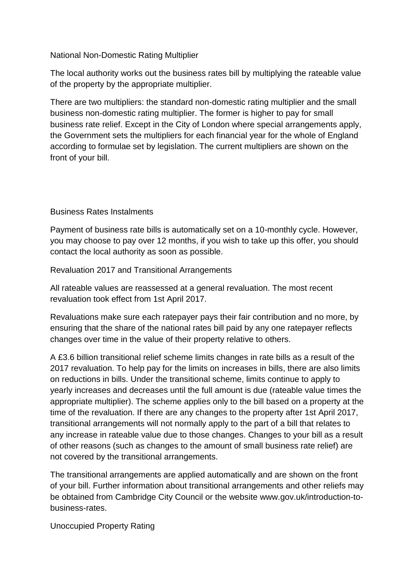## National Non-Domestic Rating Multiplier

The local authority works out the business rates bill by multiplying the rateable value of the property by the appropriate multiplier.

There are two multipliers: the standard non-domestic rating multiplier and the small business non-domestic rating multiplier. The former is higher to pay for small business rate relief. Except in the City of London where special arrangements apply, the Government sets the multipliers for each financial year for the whole of England according to formulae set by legislation. The current multipliers are shown on the front of your bill.

# Business Rates Instalments

Payment of business rate bills is automatically set on a 10-monthly cycle. However, you may choose to pay over 12 months, if you wish to take up this offer, you should contact the local authority as soon as possible.

Revaluation 2017 and Transitional Arrangements

All rateable values are reassessed at a general revaluation. The most recent revaluation took effect from 1st April 2017.

Revaluations make sure each ratepayer pays their fair contribution and no more, by ensuring that the share of the national rates bill paid by any one ratepayer reflects changes over time in the value of their property relative to others.

A £3.6 billion transitional relief scheme limits changes in rate bills as a result of the 2017 revaluation. To help pay for the limits on increases in bills, there are also limits on reductions in bills. Under the transitional scheme, limits continue to apply to yearly increases and decreases until the full amount is due (rateable value times the appropriate multiplier). The scheme applies only to the bill based on a property at the time of the revaluation. If there are any changes to the property after 1st April 2017, transitional arrangements will not normally apply to the part of a bill that relates to any increase in rateable value due to those changes. Changes to your bill as a result of other reasons (such as changes to the amount of small business rate relief) are not covered by the transitional arrangements.

The transitional arrangements are applied automatically and are shown on the front of your bill. Further information about transitional arrangements and other reliefs may be obtained from Cambridge City Council or the website www.gov.uk/introduction-tobusiness-rates.

Unoccupied Property Rating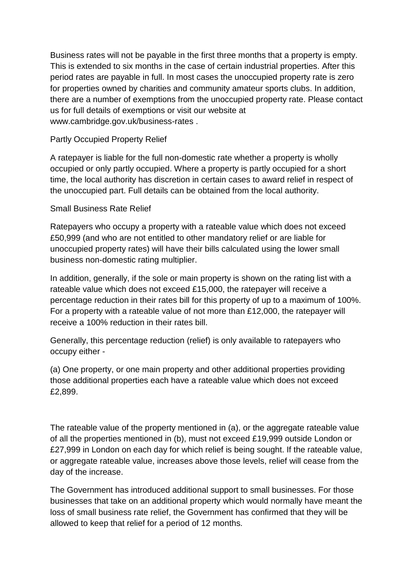Business rates will not be payable in the first three months that a property is empty. This is extended to six months in the case of certain industrial properties. After this period rates are payable in full. In most cases the unoccupied property rate is zero for properties owned by charities and community amateur sports clubs. In addition, there are a number of exemptions from the unoccupied property rate. Please contact us for full details of exemptions or visit our website at www.cambridge.gov.uk/business-rates .

## Partly Occupied Property Relief

A ratepayer is liable for the full non-domestic rate whether a property is wholly occupied or only partly occupied. Where a property is partly occupied for a short time, the local authority has discretion in certain cases to award relief in respect of the unoccupied part. Full details can be obtained from the local authority.

## Small Business Rate Relief

Ratepayers who occupy a property with a rateable value which does not exceed £50,999 (and who are not entitled to other mandatory relief or are liable for unoccupied property rates) will have their bills calculated using the lower small business non-domestic rating multiplier.

In addition, generally, if the sole or main property is shown on the rating list with a rateable value which does not exceed £15,000, the ratepayer will receive a percentage reduction in their rates bill for this property of up to a maximum of 100%. For a property with a rateable value of not more than £12,000, the ratepayer will receive a 100% reduction in their rates bill.

Generally, this percentage reduction (relief) is only available to ratepayers who occupy either -

(a) One property, or one main property and other additional properties providing those additional properties each have a rateable value which does not exceed £2,899.

The rateable value of the property mentioned in (a), or the aggregate rateable value of all the properties mentioned in (b), must not exceed £19,999 outside London or £27,999 in London on each day for which relief is being sought. If the rateable value, or aggregate rateable value, increases above those levels, relief will cease from the day of the increase.

The Government has introduced additional support to small businesses. For those businesses that take on an additional property which would normally have meant the loss of small business rate relief, the Government has confirmed that they will be allowed to keep that relief for a period of 12 months.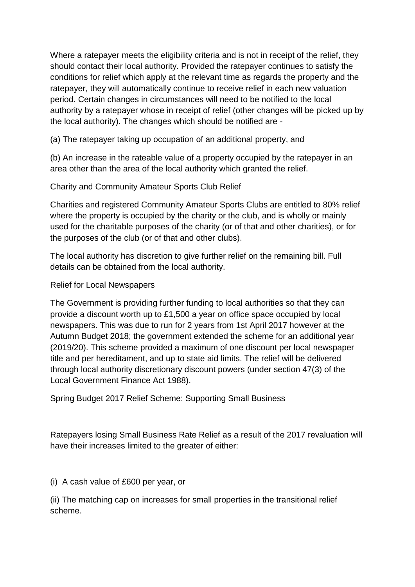Where a ratepayer meets the eligibility criteria and is not in receipt of the relief, they should contact their local authority. Provided the ratepayer continues to satisfy the conditions for relief which apply at the relevant time as regards the property and the ratepayer, they will automatically continue to receive relief in each new valuation period. Certain changes in circumstances will need to be notified to the local authority by a ratepayer whose in receipt of relief (other changes will be picked up by the local authority). The changes which should be notified are -

(a) The ratepayer taking up occupation of an additional property, and

(b) An increase in the rateable value of a property occupied by the ratepayer in an area other than the area of the local authority which granted the relief.

Charity and Community Amateur Sports Club Relief

Charities and registered Community Amateur Sports Clubs are entitled to 80% relief where the property is occupied by the charity or the club, and is wholly or mainly used for the charitable purposes of the charity (or of that and other charities), or for the purposes of the club (or of that and other clubs).

The local authority has discretion to give further relief on the remaining bill. Full details can be obtained from the local authority.

# Relief for Local Newspapers

The Government is providing further funding to local authorities so that they can provide a discount worth up to £1,500 a year on office space occupied by local newspapers. This was due to run for 2 years from 1st April 2017 however at the Autumn Budget 2018; the government extended the scheme for an additional year (2019/20). This scheme provided a maximum of one discount per local newspaper title and per hereditament, and up to state aid limits. The relief will be delivered through local authority discretionary discount powers (under section 47(3) of the Local Government Finance Act 1988).

Spring Budget 2017 Relief Scheme: Supporting Small Business

Ratepayers losing Small Business Rate Relief as a result of the 2017 revaluation will have their increases limited to the greater of either:

(i) A cash value of £600 per year, or

(ii) The matching cap on increases for small properties in the transitional relief scheme.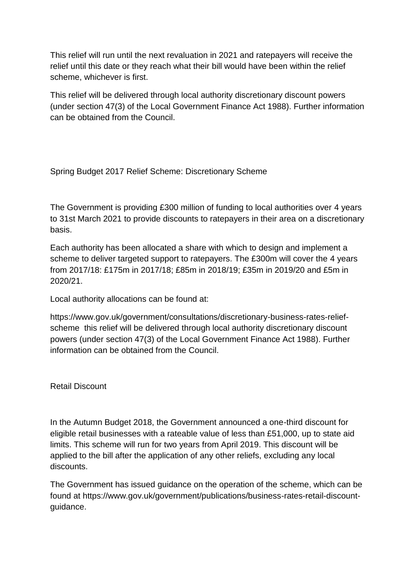This relief will run until the next revaluation in 2021 and ratepayers will receive the relief until this date or they reach what their bill would have been within the relief scheme, whichever is first.

This relief will be delivered through local authority discretionary discount powers (under section 47(3) of the Local Government Finance Act 1988). Further information can be obtained from the Council.

Spring Budget 2017 Relief Scheme: Discretionary Scheme

The Government is providing £300 million of funding to local authorities over 4 years to 31st March 2021 to provide discounts to ratepayers in their area on a discretionary basis.

Each authority has been allocated a share with which to design and implement a scheme to deliver targeted support to ratepayers. The £300m will cover the 4 years from 2017/18: £175m in 2017/18; £85m in 2018/19; £35m in 2019/20 and £5m in 2020/21.

Local authority allocations can be found at:

https://www.gov.uk/government/consultations/discretionary-business-rates-reliefscheme this relief will be delivered through local authority discretionary discount powers (under section 47(3) of the Local Government Finance Act 1988). Further information can be obtained from the Council.

Retail Discount

In the Autumn Budget 2018, the Government announced a one-third discount for eligible retail businesses with a rateable value of less than £51,000, up to state aid limits. This scheme will run for two years from April 2019. This discount will be applied to the bill after the application of any other reliefs, excluding any local discounts.

The Government has issued guidance on the operation of the scheme, which can be found at https://www.gov.uk/government/publications/business-rates-retail-discountguidance.